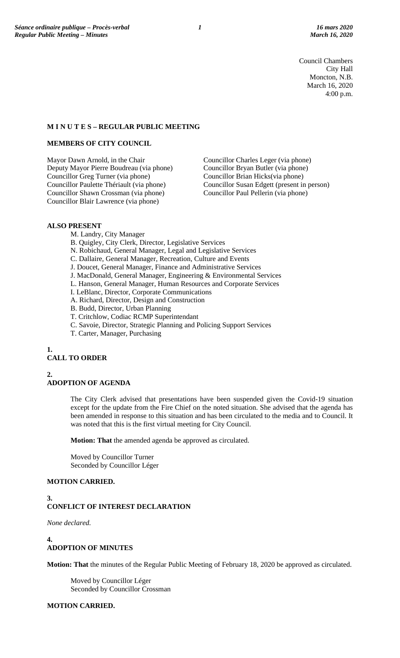Council Chambers City Hall Moncton, N.B. March 16, 2020 4:00 p.m.

## **M I N U T E S – REGULAR PUBLIC MEETING**

## **MEMBERS OF CITY COUNCIL**

Mayor Dawn Arnold, in the Chair Councillor Charles Leger (via phone) Deputy Mayor Pierre Boudreau (via phone) Councillor Bryan Butler (via phone) Councillor Greg Turner (via phone)<br>Councillor Paulette Thériault (via phone) Councillor Shawn Crossman (via phone) Councillor Paul Pellerin (via phone) Councillor Blair Lawrence (via phone)

Councillor Susan Edgett (present in person)

## **ALSO PRESENT**

- M. Landry, City Manager
- B. Quigley, City Clerk, Director, Legislative Services
- N. Robichaud, General Manager, Legal and Legislative Services
- C. Dallaire, General Manager, Recreation, Culture and Events
- J. Doucet, General Manager, Finance and Administrative Services
- J. MacDonald, General Manager, Engineering & Environmental Services
- L. Hanson, General Manager, Human Resources and Corporate Services
- I. LeBlanc, Director, Corporate Communications
- A. Richard, Director, Design and Construction
- B. Budd, Director, Urban Planning
- T. Critchlow, Codiac RCMP Superintendant
- C. Savoie, Director, Strategic Planning and Policing Support Services
- T. Carter, Manager, Purchasing

# **1.**

# **CALL TO ORDER**

**2.**

## **ADOPTION OF AGENDA**

The City Clerk advised that presentations have been suspended given the Covid-19 situation except for the update from the Fire Chief on the noted situation. She advised that the agenda has been amended in response to this situation and has been circulated to the media and to Council. It was noted that this is the first virtual meeting for City Council.

**Motion: That** the amended agenda be approved as circulated.

Moved by Councillor Turner Seconded by Councillor Léger

## **MOTION CARRIED.**

# **3. CONFLICT OF INTEREST DECLARATION**

*None declared.*

## **4. ADOPTION OF MINUTES**

**Motion: That** the minutes of the Regular Public Meeting of February 18, 2020 be approved as circulated.

Moved by Councillor Léger Seconded by Councillor Crossman

## **MOTION CARRIED.**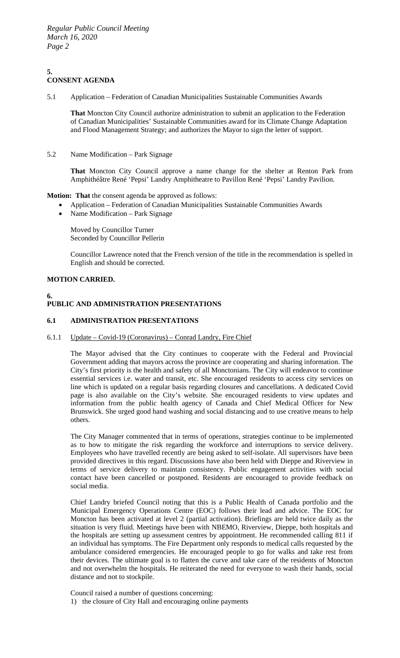#### **5. CONSENT AGENDA**

5.1 Application – Federation of Canadian Municipalities Sustainable Communities Awards

**That** Moncton City Council authorize administration to submit an application to the Federation of Canadian Municipalities' Sustainable Communities award for its Climate Change Adaptation and Flood Management Strategy; and authorizes the Mayor to sign the letter of support.

5.2 Name Modification – Park Signage

**That** Moncton City Council approve a name change for the shelter at Renton Park from Amphithéâtre René 'Pepsi' Landry Amphitheatre to Pavillon René 'Pepsi' Landry Pavilion.

**Motion: That** the consent agenda be approved as follows:

- Application Federation of Canadian Municipalities Sustainable Communities Awards
- Name Modification Park Signage

Moved by Councillor Turner Seconded by Councillor Pellerin

Councillor Lawrence noted that the French version of the title in the recommendation is spelled in English and should be corrected.

## **MOTION CARRIED.**

## **6. PUBLIC AND ADMINISTRATION PRESENTATIONS**

## **6.1 ADMINISTRATION PRESENTATIONS**

## 6.1.1 Update – Covid-19 (Coronavirus) – Conrad Landry, Fire Chief

The Mayor advised that the City continues to cooperate with the Federal and Provincial Government adding that mayors across the province are cooperating and sharing information. The City's first priority is the health and safety of all Monctonians. The City will endeavor to continue essential services i.e. water and transit, etc. She encouraged residents to access city services on line which is updated on a regular basis regarding closures and cancellations. A dedicated Covid page is also available on the City's website. She encouraged residents to view updates and information from the public health agency of Canada and Chief Medical Officer for New Brunswick. She urged good hand washing and social distancing and to use creative means to help others.

The City Manager commented that in terms of operations, strategies continue to be implemented as to how to mitigate the risk regarding the workforce and interruptions to service delivery. Employees who have travelled recently are being asked to self-isolate. All supervisors have been provided directives in this regard. Discussions have also been held with Dieppe and Riverview in terms of service delivery to maintain consistency. Public engagement activities with social contact have been cancelled or postponed. Residents are encouraged to provide feedback on social media.

Chief Landry briefed Council noting that this is a Public Health of Canada portfolio and the Municipal Emergency Operations Centre (EOC) follows their lead and advice. The EOC for Moncton has been activated at level 2 (partial activation). Briefings are held twice daily as the situation is very fluid. Meetings have been with NBEMO, Riverview, Dieppe, both hospitals and the hospitals are setting up assessment centres by appointment. He recommended calling 811 if an individual has symptoms. The Fire Department only responds to medical calls requested by the ambulance considered emergencies. He encouraged people to go for walks and take rest from their devices. The ultimate goal is to flatten the curve and take care of the residents of Moncton and not overwhelm the hospitals. He reiterated the need for everyone to wash their hands, social distance and not to stockpile.

Council raised a number of questions concerning:

1) the closure of City Hall and encouraging online payments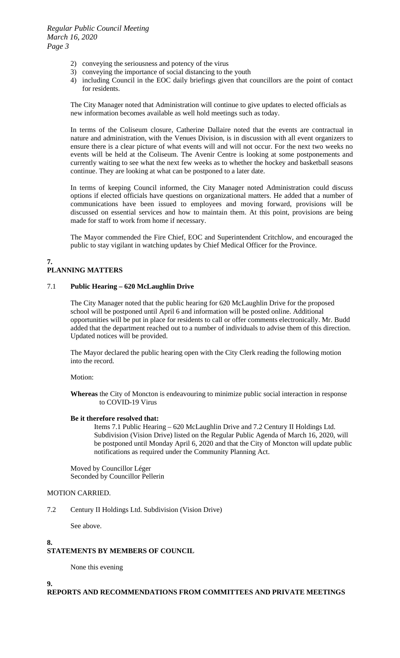- 2) conveying the seriousness and potency of the virus
- 3) conveying the importance of social distancing to the youth
- 4) including Council in the EOC daily briefings given that councillors are the point of contact for residents.

The City Manager noted that Administration will continue to give updates to elected officials as new information becomes available as well hold meetings such as today.

In terms of the Coliseum closure, Catherine Dallaire noted that the events are contractual in nature and administration, with the Venues Division, is in discussion with all event organizers to ensure there is a clear picture of what events will and will not occur. For the next two weeks no events will be held at the Coliseum. The Avenir Centre is looking at some postponements and currently waiting to see what the next few weeks as to whether the hockey and basketball seasons continue. They are looking at what can be postponed to a later date.

In terms of keeping Council informed, the City Manager noted Administration could discuss options if elected officials have questions on organizational matters. He added that a number of communications have been issued to employees and moving forward, provisions will be discussed on essential services and how to maintain them. At this point, provisions are being made for staff to work from home if necessary.

The Mayor commended the Fire Chief, EOC and Superintendent Critchlow, and encouraged the public to stay vigilant in watching updates by Chief Medical Officer for the Province.

## **7. PLANNING MATTERS**

## 7.1 **Public Hearing – 620 McLaughlin Drive**

The City Manager noted that the public hearing for 620 McLaughlin Drive for the proposed school will be postponed until April 6 and information will be posted online. Additional opportunities will be put in place for residents to call or offer comments electronically. Mr. Budd added that the department reached out to a number of individuals to advise them of this direction. Updated notices will be provided.

The Mayor declared the public hearing open with the City Clerk reading the following motion into the record.

Motion:

**Whereas** the City of Moncton is endeavouring to minimize public social interaction in response to COVID-19 Virus

## **Be it therefore resolved that:**

Items 7.1 Public Hearing – 620 McLaughlin Drive and 7.2 Century II Holdings Ltd. Subdivision (Vision Drive) listed on the Regular Public Agenda of March 16, 2020, will be postponed until Monday April 6, 2020 and that the City of Moncton will update public notifications as required under the Community Planning Act.

Moved by Councillor Léger Seconded by Councillor Pellerin

## MOTION CARRIED.

7.2 Century II Holdings Ltd. Subdivision (Vision Drive)

See above.

#### **8. STATEMENTS BY MEMBERS OF COUNCIL**

None this evening

**9.**

**REPORTS AND RECOMMENDATIONS FROM COMMITTEES AND PRIVATE MEETINGS**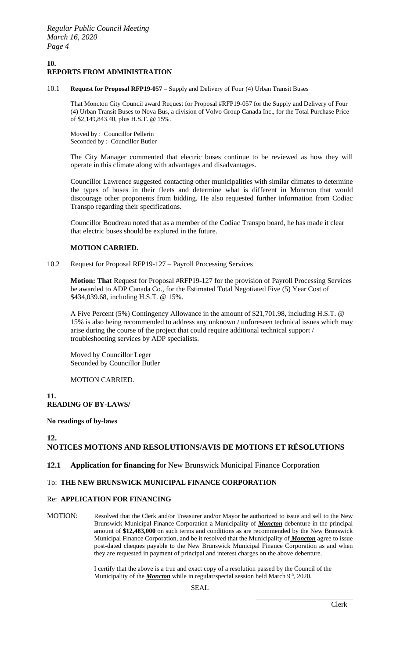## **10. REPORTS FROM ADMINISTRATION**

10.1 **Request for Proposal RFP19-057** – Supply and Delivery of Four (4) Urban Transit Buses

That Moncton City Council award Request for Proposal #RFP19-057 for the Supply and Delivery of Four (4) Urban Transit Buses to Nova Bus, a division of Volvo Group Canada Inc., for the Total Purchase Price of \$2,149,843.40, plus H.S.T. @ 15%.

Moved by : Councillor Pellerin Seconded by : Councillor Butler

The City Manager commented that electric buses continue to be reviewed as how they will operate in this climate along with advantages and disadvantages.

Councillor Lawrence suggested contacting other municipalities with similar climates to determine the types of buses in their fleets and determine what is different in Moncton that would discourage other proponents from bidding. He also requested further information from Codiac Transpo regarding their specifications.

Councillor Boudreau noted that as a member of the Codiac Transpo board, he has made it clear that electric buses should be explored in the future.

## **MOTION CARRIED.**

## 10.2 Request for Proposal RFP19-127 – Payroll Processing Services

**Motion: That** Request for Proposal #RFP19-127 for the provision of Payroll Processing Services be awarded to ADP Canada Co., for the Estimated Total Negotiated Five (5) Year Cost of \$434,039.68, including H.S.T. @ 15%.

A Five Percent (5%) Contingency Allowance in the amount of \$21,701.98, including H.S.T. @ 15% is also being recommended to address any unknown / unforeseen technical issues which may arise during the course of the project that could require additional technical support / troubleshooting services by ADP specialists.

Moved by Councillor Leger Seconded by Councillor Butler

## MOTION CARRIED.

**11. READING OF BY-LAWS/**

## **No readings of by-laws**

# **12.**

# **NOTICES MOTIONS AND RESOLUTIONS/AVIS DE MOTIONS ET RÉSOLUTIONS**

## **12.1 Application for financing f**or New Brunswick Municipal Finance Corporation

## To: **THE NEW BRUNSWICK MUNICIPAL FINANCE CORPORATION**

## Re: **APPLICATION FOR FINANCING**

MOTION: Resolved that the Clerk and/or Treasurer and/or Mayor be authorized to issue and sell to the New Brunswick Municipal Finance Corporation a Municipality of *Moncton* debenture in the principal amount of **\$12,483,000** on such terms and conditions as are recommended by the New Brunswick Municipal Finance Corporation, and be it resolved that the Municipality of *Moncton* agree to issue post-dated cheques payable to the New Brunswick Municipal Finance Corporation as and when they are requested in payment of principal and interest charges on the above debenture.

> I certify that the above is a true and exact copy of a resolution passed by the Council of the Municipality of the *Moncton* while in regular/special session held March 9<sup>th</sup>, 2020.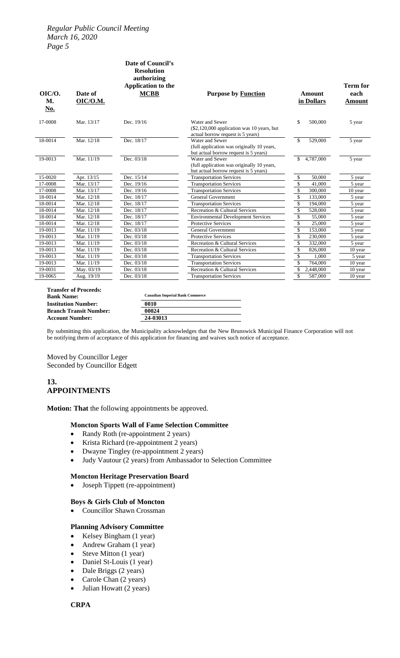## *Regular Public Council Meeting March 16, 2020 Page 5*

| OIC/O.<br>М.<br><u>No.</u> | Date of<br><b>OIC/O.M.</b> | authorizing<br>Application to the<br><b>MCBB</b> | <b>Purpose by Function</b>                                                                             | <b>Amount</b><br>in Dollars        | <b>Term for</b><br>each<br><b>Amount</b> |
|----------------------------|----------------------------|--------------------------------------------------|--------------------------------------------------------------------------------------------------------|------------------------------------|------------------------------------------|
| 17-0008                    | Mar. 13/17                 | Dec. 19/16                                       | Water and Sewer<br>$(\$2,120,000$ application was 10 years, but<br>actual borrow request is 5 years)   | \$<br>500,000                      | 5 year                                   |
| 18-0014                    | Mar. 12/18                 | Dec. 18/17                                       | Water and Sewer<br>(full application was originally 10 years,<br>but actual borrow request is 5 years) | 529,000<br>\$                      | 5 year                                   |
| 19-0013                    | Mar. 11/19                 | Dec. 03/18                                       | Water and Sewer<br>(full application was originally 10 years,<br>but actual borrow request is 5 years) | 4,787,000<br>\$                    | 5 year                                   |
| 15-0020                    | Apr. 13/15                 | Dec. 15/14                                       | <b>Transportation Services</b>                                                                         | \$<br>50,000                       | 5 year                                   |
| 17-0008                    | Mar. 13/17                 | Dec. 19/16                                       | <b>Transportation Services</b>                                                                         | $\overline{\mathcal{L}}$<br>41,000 | 5 year                                   |
| 17-0008                    | Mar. 13/17                 | Dec. 19/16                                       | <b>Transportation Services</b>                                                                         | \$<br>300,000                      | 10 year                                  |
| 18-0014                    | Mar. 12/18                 | Dec. 18/17                                       | <b>General Government</b>                                                                              | \$<br>133,000                      | 5 year                                   |
| 18-0014                    | Mar. 12/18                 | Dec. 18/17                                       | <b>Transportation Services</b>                                                                         | \$<br>194,000                      | 5 year                                   |
| 18-0014                    | Mar. 12/18                 | Dec. 18/17                                       | Recreation & Cultural Services                                                                         | \$<br>528,000                      | 5 year                                   |
| 18-0014                    | Mar. 12/18                 | Dec. 18/17                                       | <b>Environmental Development Services</b>                                                              | $\sqrt{3}$<br>55,000               | 5 year                                   |
| 18-0014                    | Mar. 12/18                 | Dec. 18/17                                       | <b>Protective Services</b>                                                                             | \$<br>25,000                       | 5 year                                   |
| 19-0013                    | Mar. 11/19                 | Dec. 03/18                                       | <b>General Government</b>                                                                              | $\overline{\$}$<br>153,000         | 5 year                                   |
| 19-0013                    | Mar. 11/19                 | Dec. 03/18                                       | <b>Protective Services</b>                                                                             | \$<br>230,000                      | 5 year                                   |
| 19-0013                    | Mar. 11/19                 | Dec. 03/18                                       | Recreation & Cultural Services                                                                         | \$<br>332,000                      | 5 year                                   |
| 19-0013                    | Mar. 11/19                 | Dec. 03/18                                       | Recreation & Cultural Services                                                                         | $\overline{\$}$<br>826,000         | 10 year                                  |
| 19-0013                    | Mar. 11/19                 | Dec. 03/18                                       | <b>Transportation Services</b>                                                                         | $\$$<br>1,000                      | 5 year                                   |
| 19-0013                    | Mar. 11/19                 | Dec. 03/18                                       | <b>Transportation Services</b>                                                                         | \$<br>764,000                      | 10 year                                  |
| 19-0031                    | May. 03/19                 | Dec. 03/18                                       | Recreation & Cultural Services                                                                         | \$<br>2,448,000                    | 10 year                                  |
| 19-0065                    | Aug. 19/19                 | Dec. 03/18                                       | <b>Transportation Services</b>                                                                         | \$<br>587,000                      | 10 year                                  |

**Transfer of Proceeds: Bank Name: Institution Number: Branch Transit Number: Account Number:** 

| <b>Canadian Imperial Bank Commerce</b> |  |  |
|----------------------------------------|--|--|
| 0010                                   |  |  |
| 00024                                  |  |  |
| 24-03013                               |  |  |

By submitting this application, the Municipality acknowledges that the New Brunswick Municipal Finance Corporation will not be notifying them of acceptance of this application for financing and waives such notice of acceptance.

Moved by Councillor Leger Seconded by Councillor Edgett

## **13. APPOINTMENTS**

**Motion: That** the following appointments be approved.

## **Moncton Sports Wall of Fame Selection Committee**

- Randy Roth (re-appointment 2 years)
- Krista Richard (re-appointment 2 years)
- 
- Dwayne Tingley (re-appointment 2 years)<br>• Judy Vautour (2 years) from Ambassador • Judy Vautour (2 years) from Ambassador to Selection Committee

## **Moncton Heritage Preservation Board**

• Joseph Tippett (re-appointment)

#### **Boys & Girls Club of Moncton**

• Councillor Shawn Crossman

## **Planning Advisory Committee**

- Kelsey Bingham (1 year)
- Andrew Graham (1 year)
- Steve Mitton (1 year)
- Daniel St-Louis (1 year)
- Dale Briggs (2 years)
- Carole Chan (2 years)
- Julian Howatt (2 years)